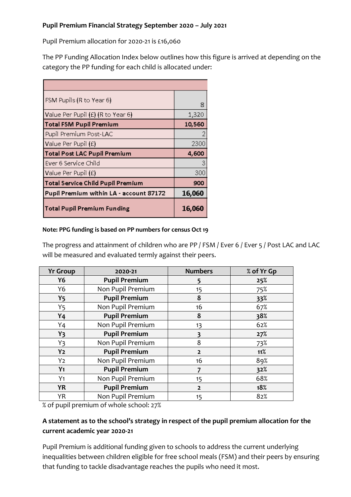#### **Pupil Premium Financial Strategy September 2020 – July 2021**

Pupil Premium allocation for 2020-21 is £16,060

The PP Funding Allocation Index below outlines how this figure is arrived at depending on the category the PP funding for each child is allocated under:

| FSM Pupils (R to Year 6)                 | 8      |
|------------------------------------------|--------|
| Value Per Pupil (£) (R to Year 6)        | 1,320  |
| <b>Total FSM Pupil Premium</b>           | 10,560 |
| Pupil Premium Post-LAC                   |        |
| Value Per Pupil (£)                      | 2300   |
|                                          |        |
| <b>Total Post LAC Pupil Premium</b>      | 4,600  |
| Ever 6 Service Child                     | З      |
| Value Per Pupil (£)                      | 300    |
| <b>Total Service Child Pupil Premium</b> | 900    |
| Pupil Premium within LA - account 87172  | 16,060 |

#### **Note: PPG funding is based on PP numbers for census Oct 19**

The progress and attainment of children who are PP / FSM / Ever 6 / Ever 5 / Post LAC and LAC will be measured and evaluated termly against their peers.

| <b>Yr Group</b> | 2020-21              | <b>Numbers</b> | % of Yr Gp |
|-----------------|----------------------|----------------|------------|
| Y6              | <b>Pupil Premium</b> | 5              | 25%        |
| Y6              | Non Pupil Premium    | 15             | 75%        |
| <b>Y5</b>       | <b>Pupil Premium</b> | 8              | 33%        |
| Y <sub>5</sub>  | Non Pupil Premium    | 16             | 67%        |
| Y <sub>4</sub>  | <b>Pupil Premium</b> | 8              | 38%        |
| $Y_4$           | Non Pupil Premium    | 13             | 62%        |
| $Y_3$           | <b>Pupil Premium</b> | 3              | 27%        |
| $Y_3$           | Non Pupil Premium    | 8              | 73%        |
| Y <sub>2</sub>  | <b>Pupil Premium</b> | $\overline{2}$ | 11%        |
| Y <sub>2</sub>  | Non Pupil Premium    | 16             | 89%        |
| Y <sub>1</sub>  | <b>Pupil Premium</b> |                | 32%        |
| $Y_1$           | Non Pupil Premium    | 15             | 68%        |
| <b>YR</b>       | <b>Pupil Premium</b> | $\overline{2}$ | 18%        |
| <b>YR</b>       | Non Pupil Premium    | 15             | 82%        |

% of pupil premium of whole school: 27%

# **A statement as to the school's strategy in respect of the pupil premium allocation for the current academic year 2020-21**

Pupil Premium is additional funding given to schools to address the current underlying inequalities between children eligible for free school meals (FSM) and their peers by ensuring that funding to tackle disadvantage reaches the pupils who need it most.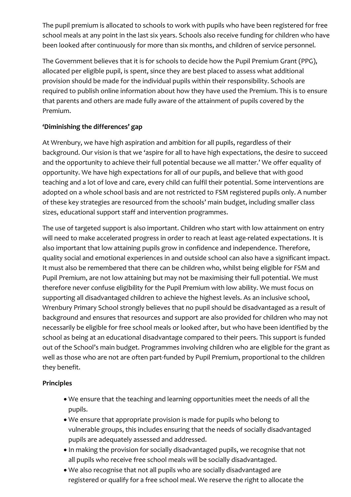The pupil premium is allocated to schools to work with pupils who have been registered for free school meals at any point in the last six years. Schools also receive funding for children who have been looked after continuously for more than six months, and children of service personnel.

The Government believes that it is for schools to decide how the Pupil Premium Grant (PPG), allocated per eligible pupil, is spent, since they are best placed to assess what additional provision should be made for the individual pupils within their responsibility. Schools are required to publish online information about how they have used the Premium. This is to ensure that parents and others are made fully aware of the attainment of pupils covered by the Premium.

# **'Diminishing the differences' gap**

At Wrenbury, we have high aspiration and ambition for all pupils, regardless of their background. Our vision is that we 'aspire for all to have high expectations, the desire to succeed and the opportunity to achieve their full potential because we all matter.' We offer equality of opportunity. We have high expectations for all of our pupils, and believe that with good teaching and a lot of love and care, every child can fulfil their potential. Some interventions are adopted on a whole school basis and are not restricted to FSM registered pupils only. A number of these key strategies are resourced from the schools' main budget, including smaller class sizes, educational support staff and intervention programmes.

The use of targeted support is also important. Children who start with low attainment on entry will need to make accelerated progress in order to reach at least age-related expectations. It is also important that low attaining pupils grow in confidence and independence. Therefore, quality social and emotional experiences in and outside school can also have a significant impact. It must also be remembered that there can be children who, whilst being eligible for FSM and Pupil Premium, are not low attaining but may not be maximising their full potential. We must therefore never confuse eligibility for the Pupil Premium with low ability. We must focus on supporting all disadvantaged children to achieve the highest levels. As an inclusive school, Wrenbury Primary School strongly believes that no pupil should be disadvantaged as a result of background and ensures that resources and support are also provided for children who may not necessarily be eligible for free school meals or looked after, but who have been identified by the school as being at an educational disadvantage compared to their peers. This support is funded out of the School's main budget. Programmes involving children who are eligible for the grant as well as those who are not are often part-funded by Pupil Premium, proportional to the children they benefit.

## **Principles**

- We ensure that the teaching and learning opportunities meet the needs of all the pupils.
- We ensure that appropriate provision is made for pupils who belong to vulnerable groups, this includes ensuring that the needs of socially disadvantaged pupils are adequately assessed and addressed.
- In making the provision for socially disadvantaged pupils, we recognise that not all pupils who receive free school meals will be socially disadvantaged.
- We also recognise that not all pupils who are socially disadvantaged are registered or qualify for a free school meal. We reserve the right to allocate the